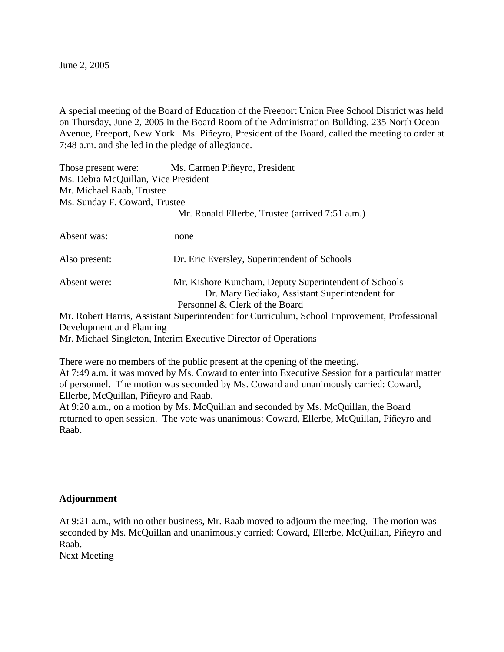June 2, 2005

A special meeting of the Board of Education of the Freeport Union Free School District was held on Thursday, June 2, 2005 in the Board Room of the Administration Building, 235 North Ocean Avenue, Freeport, New York. Ms. Piñeyro, President of the Board, called the meeting to order at 7:48 a.m. and she led in the pledge of allegiance.

| Those present were:<br>Ms. Debra McQuillan, Vice President<br>Mr. Michael Raab, Trustee | Ms. Carmen Piñeyro, President                                                                                                             |
|-----------------------------------------------------------------------------------------|-------------------------------------------------------------------------------------------------------------------------------------------|
| Ms. Sunday F. Coward, Trustee                                                           |                                                                                                                                           |
|                                                                                         | Mr. Ronald Ellerbe, Trustee (arrived 7:51 a.m.)                                                                                           |
| Absent was:                                                                             | none                                                                                                                                      |
| Also present:                                                                           | Dr. Eric Eversley, Superintendent of Schools                                                                                              |
| Absent were:                                                                            | Mr. Kishore Kuncham, Deputy Superintendent of Schools<br>Dr. Mary Bediako, Assistant Superintendent for<br>Personnel & Clerk of the Board |
|                                                                                         | Mr. Robert Harris, Assistant Superintendent for Curriculum, School Improvement, Professional                                              |
| Development and Planning                                                                |                                                                                                                                           |
|                                                                                         | Mr. Michael Singleton, Interim Executive Director of Operations                                                                           |

There were no members of the public present at the opening of the meeting. At 7:49 a.m. it was moved by Ms. Coward to enter into Executive Session for a particular matter of personnel. The motion was seconded by Ms. Coward and unanimously carried: Coward, Ellerbe, McQuillan, Piñeyro and Raab.

At 9:20 a.m., on a motion by Ms. McQuillan and seconded by Ms. McQuillan, the Board returned to open session. The vote was unanimous: Coward, Ellerbe, McQuillan, Piñeyro and Raab.

## **Adjournment**

At 9:21 a.m., with no other business, Mr. Raab moved to adjourn the meeting. The motion was seconded by Ms. McQuillan and unanimously carried: Coward, Ellerbe, McQuillan, Piñeyro and Raab. Next Meeting